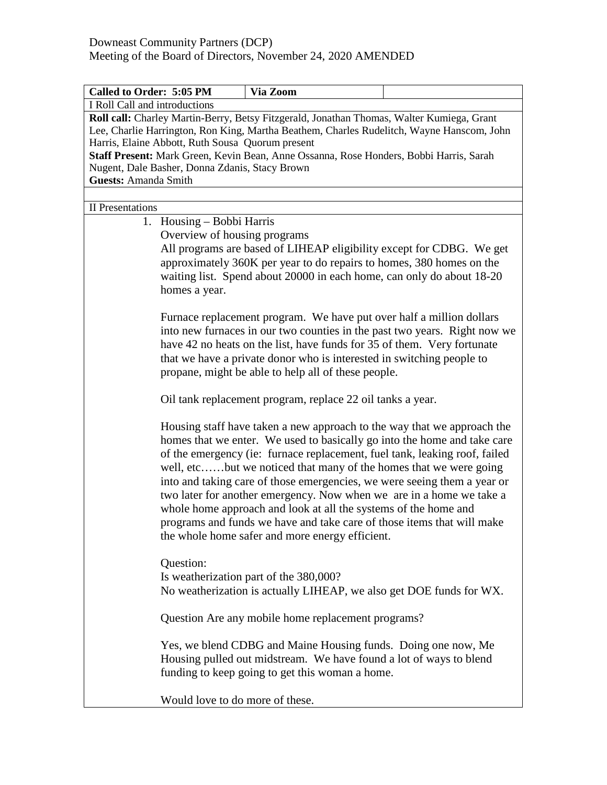| Called to Order: 5:05 PM                                                                                                                                                                                                                                                                                                                                                               | Via Zoom                                                                                                                                                                                                                                                                                                                                                                                                                                                                                                                                                                                                                                                   |  |  |  |
|----------------------------------------------------------------------------------------------------------------------------------------------------------------------------------------------------------------------------------------------------------------------------------------------------------------------------------------------------------------------------------------|------------------------------------------------------------------------------------------------------------------------------------------------------------------------------------------------------------------------------------------------------------------------------------------------------------------------------------------------------------------------------------------------------------------------------------------------------------------------------------------------------------------------------------------------------------------------------------------------------------------------------------------------------------|--|--|--|
| I Roll Call and introductions                                                                                                                                                                                                                                                                                                                                                          |                                                                                                                                                                                                                                                                                                                                                                                                                                                                                                                                                                                                                                                            |  |  |  |
| Roll call: Charley Martin-Berry, Betsy Fitzgerald, Jonathan Thomas, Walter Kumiega, Grant<br>Lee, Charlie Harrington, Ron King, Martha Beathem, Charles Rudelitch, Wayne Hanscom, John<br>Harris, Elaine Abbott, Ruth Sousa Quorum present<br>Staff Present: Mark Green, Kevin Bean, Anne Ossanna, Rose Honders, Bobbi Harris, Sarah<br>Nugent, Dale Basher, Donna Zdanis, Stacy Brown |                                                                                                                                                                                                                                                                                                                                                                                                                                                                                                                                                                                                                                                            |  |  |  |
| <b>Guests: Amanda Smith</b>                                                                                                                                                                                                                                                                                                                                                            |                                                                                                                                                                                                                                                                                                                                                                                                                                                                                                                                                                                                                                                            |  |  |  |
|                                                                                                                                                                                                                                                                                                                                                                                        |                                                                                                                                                                                                                                                                                                                                                                                                                                                                                                                                                                                                                                                            |  |  |  |
| <b>II</b> Presentations                                                                                                                                                                                                                                                                                                                                                                |                                                                                                                                                                                                                                                                                                                                                                                                                                                                                                                                                                                                                                                            |  |  |  |
| 1. Housing – Bobbi Harris                                                                                                                                                                                                                                                                                                                                                              |                                                                                                                                                                                                                                                                                                                                                                                                                                                                                                                                                                                                                                                            |  |  |  |
| Overview of housing programs                                                                                                                                                                                                                                                                                                                                                           |                                                                                                                                                                                                                                                                                                                                                                                                                                                                                                                                                                                                                                                            |  |  |  |
| homes a year.                                                                                                                                                                                                                                                                                                                                                                          | All programs are based of LIHEAP eligibility except for CDBG. We get<br>approximately 360K per year to do repairs to homes, 380 homes on the<br>waiting list. Spend about 20000 in each home, can only do about 18-20                                                                                                                                                                                                                                                                                                                                                                                                                                      |  |  |  |
|                                                                                                                                                                                                                                                                                                                                                                                        | Furnace replacement program. We have put over half a million dollars<br>into new furnaces in our two counties in the past two years. Right now we<br>have 42 no heats on the list, have funds for 35 of them. Very fortunate<br>that we have a private donor who is interested in switching people to<br>propane, might be able to help all of these people.                                                                                                                                                                                                                                                                                               |  |  |  |
|                                                                                                                                                                                                                                                                                                                                                                                        | Oil tank replacement program, replace 22 oil tanks a year.                                                                                                                                                                                                                                                                                                                                                                                                                                                                                                                                                                                                 |  |  |  |
|                                                                                                                                                                                                                                                                                                                                                                                        | Housing staff have taken a new approach to the way that we approach the<br>homes that we enter. We used to basically go into the home and take care<br>of the emergency (ie: furnace replacement, fuel tank, leaking roof, failed<br>well, etcbut we noticed that many of the homes that we were going<br>into and taking care of those emergencies, we were seeing them a year or<br>two later for another emergency. Now when we are in a home we take a<br>whole home approach and look at all the systems of the home and<br>programs and funds we have and take care of those items that will make<br>the whole home safer and more energy efficient. |  |  |  |
| Question:<br>Is weatherization part of the 380,000?<br>No weatherization is actually LIHEAP, we also get DOE funds for WX.                                                                                                                                                                                                                                                             |                                                                                                                                                                                                                                                                                                                                                                                                                                                                                                                                                                                                                                                            |  |  |  |
|                                                                                                                                                                                                                                                                                                                                                                                        | Question Are any mobile home replacement programs?                                                                                                                                                                                                                                                                                                                                                                                                                                                                                                                                                                                                         |  |  |  |
|                                                                                                                                                                                                                                                                                                                                                                                        | Yes, we blend CDBG and Maine Housing funds. Doing one now, Me<br>Housing pulled out midstream. We have found a lot of ways to blend<br>funding to keep going to get this woman a home.                                                                                                                                                                                                                                                                                                                                                                                                                                                                     |  |  |  |
| Would love to do more of these.                                                                                                                                                                                                                                                                                                                                                        |                                                                                                                                                                                                                                                                                                                                                                                                                                                                                                                                                                                                                                                            |  |  |  |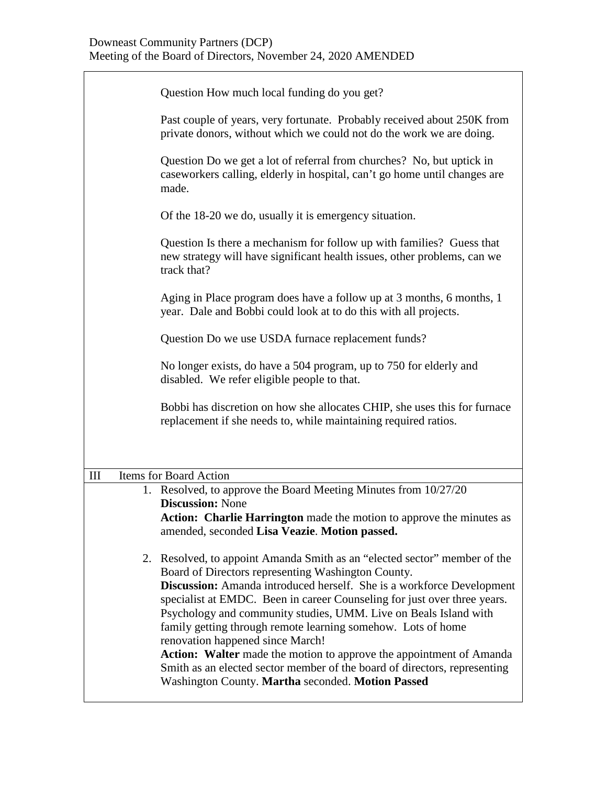|     | Question How much local funding do you get?                                                                                                                                                                                                                                                                                                                                                                                                                                                                                                                                                                                                                           |  |  |
|-----|-----------------------------------------------------------------------------------------------------------------------------------------------------------------------------------------------------------------------------------------------------------------------------------------------------------------------------------------------------------------------------------------------------------------------------------------------------------------------------------------------------------------------------------------------------------------------------------------------------------------------------------------------------------------------|--|--|
|     | Past couple of years, very fortunate. Probably received about 250K from<br>private donors, without which we could not do the work we are doing.                                                                                                                                                                                                                                                                                                                                                                                                                                                                                                                       |  |  |
|     | Question Do we get a lot of referral from churches? No, but uptick in<br>caseworkers calling, elderly in hospital, can't go home until changes are<br>made.                                                                                                                                                                                                                                                                                                                                                                                                                                                                                                           |  |  |
|     | Of the 18-20 we do, usually it is emergency situation.                                                                                                                                                                                                                                                                                                                                                                                                                                                                                                                                                                                                                |  |  |
|     | Question Is there a mechanism for follow up with families? Guess that<br>new strategy will have significant health issues, other problems, can we<br>track that?                                                                                                                                                                                                                                                                                                                                                                                                                                                                                                      |  |  |
|     | Aging in Place program does have a follow up at 3 months, 6 months, 1<br>year. Dale and Bobbi could look at to do this with all projects.                                                                                                                                                                                                                                                                                                                                                                                                                                                                                                                             |  |  |
|     | Question Do we use USDA furnace replacement funds?                                                                                                                                                                                                                                                                                                                                                                                                                                                                                                                                                                                                                    |  |  |
|     | No longer exists, do have a 504 program, up to 750 for elderly and<br>disabled. We refer eligible people to that.                                                                                                                                                                                                                                                                                                                                                                                                                                                                                                                                                     |  |  |
|     | Bobbi has discretion on how she allocates CHIP, she uses this for furnace<br>replacement if she needs to, while maintaining required ratios.                                                                                                                                                                                                                                                                                                                                                                                                                                                                                                                          |  |  |
|     |                                                                                                                                                                                                                                                                                                                                                                                                                                                                                                                                                                                                                                                                       |  |  |
| III | Items for Board Action                                                                                                                                                                                                                                                                                                                                                                                                                                                                                                                                                                                                                                                |  |  |
|     | 1. Resolved, to approve the Board Meeting Minutes from 10/27/20<br><b>Discussion: None</b>                                                                                                                                                                                                                                                                                                                                                                                                                                                                                                                                                                            |  |  |
|     | Action: Charlie Harrington made the motion to approve the minutes as<br>amended, seconded Lisa Veazie. Motion passed.                                                                                                                                                                                                                                                                                                                                                                                                                                                                                                                                                 |  |  |
|     | 2. Resolved, to appoint Amanda Smith as an "elected sector" member of the<br>Board of Directors representing Washington County.<br>Discussion: Amanda introduced herself. She is a workforce Development<br>specialist at EMDC. Been in career Counseling for just over three years.<br>Psychology and community studies, UMM. Live on Beals Island with<br>family getting through remote learning somehow. Lots of home<br>renovation happened since March!<br>Action: Walter made the motion to approve the appointment of Amanda<br>Smith as an elected sector member of the board of directors, representing<br>Washington County. Martha seconded. Motion Passed |  |  |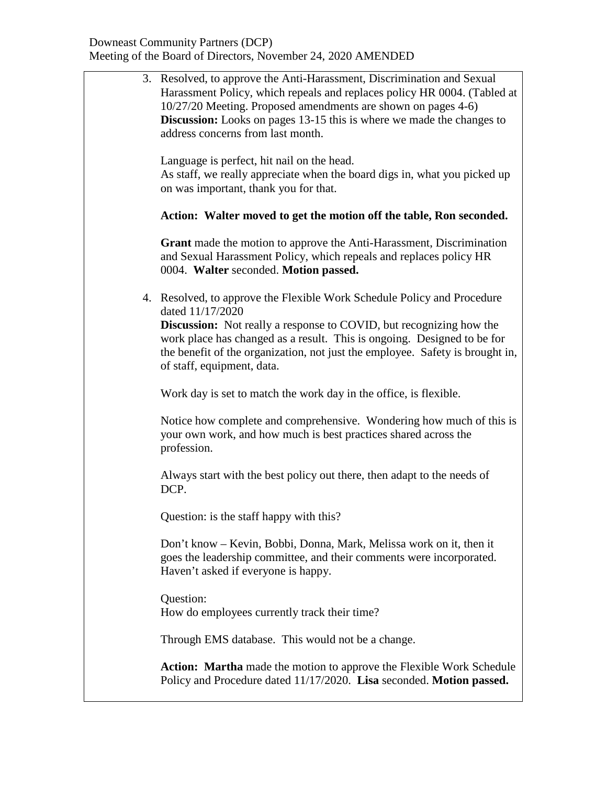| 3. Resolved, to approve the Anti-Harassment, Discrimination and Sexual<br>Harassment Policy, which repeals and replaces policy HR 0004. (Tabled at<br>10/27/20 Meeting. Proposed amendments are shown on pages 4-6)<br><b>Discussion:</b> Looks on pages 13-15 this is where we made the changes to<br>address concerns from last month. |
|------------------------------------------------------------------------------------------------------------------------------------------------------------------------------------------------------------------------------------------------------------------------------------------------------------------------------------------|
| Language is perfect, hit nail on the head.<br>As staff, we really appreciate when the board digs in, what you picked up<br>on was important, thank you for that.                                                                                                                                                                         |
| Action: Walter moved to get the motion off the table, Ron seconded.                                                                                                                                                                                                                                                                      |
| <b>Grant</b> made the motion to approve the Anti-Harassment, Discrimination<br>and Sexual Harassment Policy, which repeals and replaces policy HR<br>0004. Walter seconded. Motion passed.                                                                                                                                               |
| 4. Resolved, to approve the Flexible Work Schedule Policy and Procedure<br>dated 11/17/2020                                                                                                                                                                                                                                              |
| <b>Discussion:</b> Not really a response to COVID, but recognizing how the<br>work place has changed as a result. This is ongoing. Designed to be for<br>the benefit of the organization, not just the employee. Safety is brought in,<br>of staff, equipment, data.                                                                     |
| Work day is set to match the work day in the office, is flexible.                                                                                                                                                                                                                                                                        |
| Notice how complete and comprehensive. Wondering how much of this is<br>your own work, and how much is best practices shared across the<br>profession.                                                                                                                                                                                   |
| Always start with the best policy out there, then adapt to the needs of<br>DCP.                                                                                                                                                                                                                                                          |
| Question: is the staff happy with this?                                                                                                                                                                                                                                                                                                  |
| Don't know – Kevin, Bobbi, Donna, Mark, Melissa work on it, then it<br>goes the leadership committee, and their comments were incorporated.<br>Haven't asked if everyone is happy.                                                                                                                                                       |
| Question:<br>How do employees currently track their time?                                                                                                                                                                                                                                                                                |
| Through EMS database. This would not be a change.                                                                                                                                                                                                                                                                                        |
| Action: Martha made the motion to approve the Flexible Work Schedule<br>Policy and Procedure dated 11/17/2020. Lisa seconded. Motion passed.                                                                                                                                                                                             |
|                                                                                                                                                                                                                                                                                                                                          |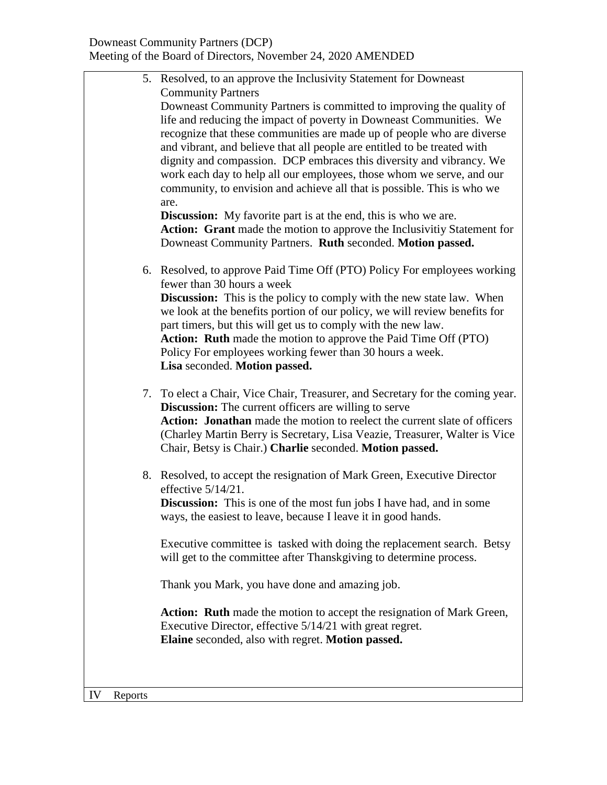|    |         | 5. Resolved, to an approve the Inclusivity Statement for Downeast               |  |
|----|---------|---------------------------------------------------------------------------------|--|
|    |         | <b>Community Partners</b>                                                       |  |
|    |         | Downeast Community Partners is committed to improving the quality of            |  |
|    |         | life and reducing the impact of poverty in Downeast Communities. We             |  |
|    |         | recognize that these communities are made up of people who are diverse          |  |
|    |         | and vibrant, and believe that all people are entitled to be treated with        |  |
|    |         | dignity and compassion. DCP embraces this diversity and vibrancy. We            |  |
|    |         | work each day to help all our employees, those whom we serve, and our           |  |
|    |         | community, to envision and achieve all that is possible. This is who we<br>are. |  |
|    |         | <b>Discussion:</b> My favorite part is at the end, this is who we are.          |  |
|    |         | Action: Grant made the motion to approve the Inclusivitiy Statement for         |  |
|    |         | Downeast Community Partners. Ruth seconded. Motion passed.                      |  |
|    |         |                                                                                 |  |
|    |         | 6. Resolved, to approve Paid Time Off (PTO) Policy For employees working        |  |
|    |         | fewer than 30 hours a week                                                      |  |
|    |         | <b>Discussion:</b> This is the policy to comply with the new state law. When    |  |
|    |         | we look at the benefits portion of our policy, we will review benefits for      |  |
|    |         | part timers, but this will get us to comply with the new law.                   |  |
|    |         | Action: Ruth made the motion to approve the Paid Time Off (PTO)                 |  |
|    |         | Policy For employees working fewer than 30 hours a week.                        |  |
|    |         | Lisa seconded. Motion passed.                                                   |  |
|    |         | 7. To elect a Chair, Vice Chair, Treasurer, and Secretary for the coming year.  |  |
|    |         | <b>Discussion:</b> The current officers are willing to serve                    |  |
|    |         | Action: Jonathan made the motion to reelect the current slate of officers       |  |
|    |         | (Charley Martin Berry is Secretary, Lisa Veazie, Treasurer, Walter is Vice      |  |
|    |         | Chair, Betsy is Chair.) Charlie seconded. Motion passed.                        |  |
|    |         |                                                                                 |  |
|    |         | 8. Resolved, to accept the resignation of Mark Green, Executive Director        |  |
|    |         | effective $5/14/21$ .                                                           |  |
|    |         | <b>Discussion:</b> This is one of the most fun jobs I have had, and in some     |  |
|    |         | ways, the easiest to leave, because I leave it in good hands.                   |  |
|    |         | Executive committee is tasked with doing the replacement search. Betsy          |  |
|    |         | will get to the committee after Thanskgiving to determine process.              |  |
|    |         |                                                                                 |  |
|    |         | Thank you Mark, you have done and amazing job.                                  |  |
|    |         | Action: Ruth made the motion to accept the resignation of Mark Green,           |  |
|    |         | Executive Director, effective 5/14/21 with great regret.                        |  |
|    |         | Elaine seconded, also with regret. Motion passed.                               |  |
|    |         |                                                                                 |  |
|    |         |                                                                                 |  |
| IV | Reports |                                                                                 |  |